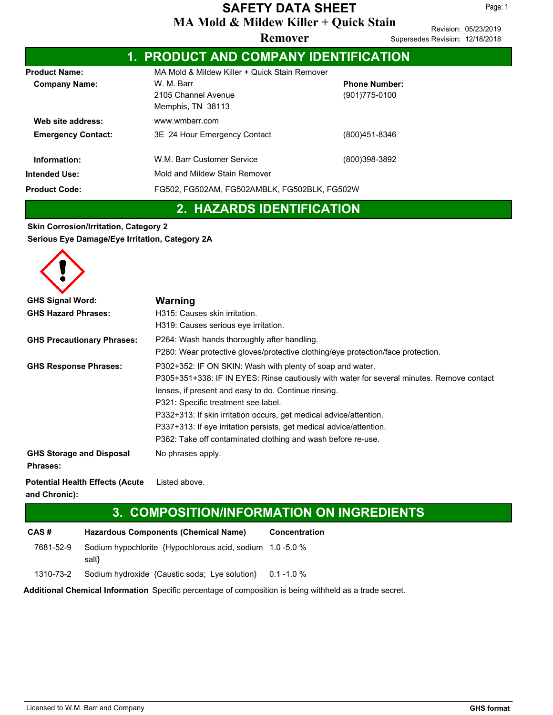Page: 1

|                           | 1. PRODUCT AND COMPANY IDENTIFICATION         |                                              |  |  |  |  |
|---------------------------|-----------------------------------------------|----------------------------------------------|--|--|--|--|
| <b>Product Name:</b>      | MA Mold & Mildew Killer + Quick Stain Remover |                                              |  |  |  |  |
| <b>Company Name:</b>      | W. M. Barr                                    | <b>Phone Number:</b>                         |  |  |  |  |
|                           | 2105 Channel Avenue                           | (901) 775-0100                               |  |  |  |  |
|                           | Memphis, TN 38113                             |                                              |  |  |  |  |
| Web site address:         | www.wmbarr.com                                |                                              |  |  |  |  |
| <b>Emergency Contact:</b> | 3E 24 Hour Emergency Contact                  | (800)451-8346                                |  |  |  |  |
| Information:              | W.M. Barr Customer Service                    | (800)398-3892                                |  |  |  |  |
| <b>Intended Use:</b>      | Mold and Mildew Stain Remover                 |                                              |  |  |  |  |
| <b>Product Code:</b>      |                                               | FG502, FG502AM, FG502AMBLK, FG502BLK, FG502W |  |  |  |  |

### **2. HAZARDS IDENTIFICATION**

**Skin Corrosion/Irritation, Category 2 Serious Eye Damage/Eye Irritation, Category 2A**

| <b>GHS Signal Word:</b><br><b>GHS Hazard Phrases:</b> | Warning<br>H315: Causes skin irritation.<br>H319: Causes serious eye irritation.                                                                                                                                                                                                                                                                                                                                                                                   |
|-------------------------------------------------------|--------------------------------------------------------------------------------------------------------------------------------------------------------------------------------------------------------------------------------------------------------------------------------------------------------------------------------------------------------------------------------------------------------------------------------------------------------------------|
| <b>GHS Precautionary Phrases:</b>                     | P264: Wash hands thoroughly after handling.<br>P280: Wear protective gloves/protective clothing/eye protection/face protection.                                                                                                                                                                                                                                                                                                                                    |
| <b>GHS Response Phrases:</b>                          | P302+352: IF ON SKIN: Wash with plenty of soap and water.<br>P305+351+338: IF IN EYES: Rinse cautiously with water for several minutes. Remove contact<br>lenses, if present and easy to do. Continue rinsing.<br>P321: Specific treatment see label.<br>P332+313: If skin irritation occurs, get medical advice/attention.<br>P337+313: If eye irritation persists, get medical advice/attention.<br>P362: Take off contaminated clothing and wash before re-use. |
| <b>GHS Storage and Disposal</b><br><b>Phrases:</b>    | No phrases apply.                                                                                                                                                                                                                                                                                                                                                                                                                                                  |

**Potential Health Effects (Acute** Listed above. **and Chronic):**

### **3. COMPOSITION/INFORMATION ON INGREDIENTS**

**CAS # Hazardous Components (Chemical Name) Concentration** 7681-52-9 Sodium hypochlorite {Hypochlorous acid, sodium 1.0 -5.0 % salt} 1310-73-2 Sodium hydroxide {Caustic soda; Lye solution} 0.1 -1.0 %

**Additional Chemical Information** Specific percentage of composition is being withheld as a trade secret.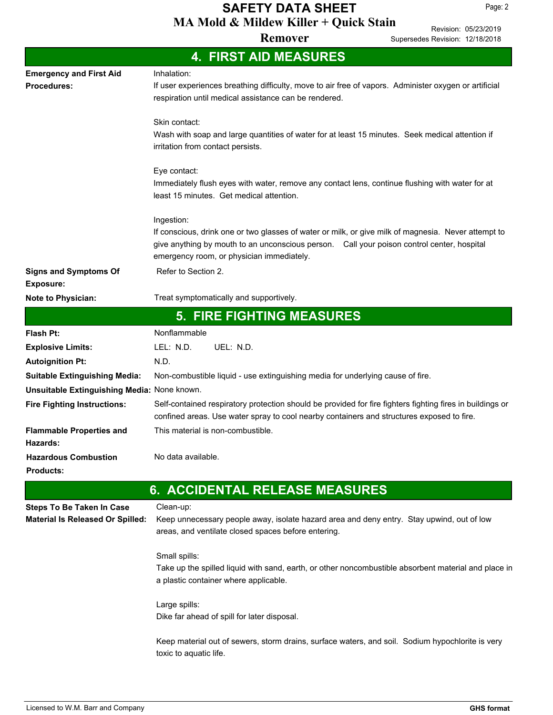**MA Mold & Mildew Killer + Quick Stain SAFETY DATA SHEET**

**Remover**

Revision: 05/23/2019 Supersedes Revision: 12/18/2018

|                                                  | <b>4. FIRST AID MEASURES</b>                                                                                                                                                                                                                   |
|--------------------------------------------------|------------------------------------------------------------------------------------------------------------------------------------------------------------------------------------------------------------------------------------------------|
| <b>Emergency and First Aid</b>                   | Inhalation:                                                                                                                                                                                                                                    |
| Procedures:                                      | If user experiences breathing difficulty, move to air free of vapors. Administer oxygen or artificial<br>respiration until medical assistance can be rendered.                                                                                 |
|                                                  | Skin contact:                                                                                                                                                                                                                                  |
|                                                  | Wash with soap and large quantities of water for at least 15 minutes. Seek medical attention if<br>irritation from contact persists.                                                                                                           |
|                                                  | Eye contact:<br>Immediately flush eyes with water, remove any contact lens, continue flushing with water for at<br>least 15 minutes. Get medical attention.                                                                                    |
|                                                  | Ingestion:                                                                                                                                                                                                                                     |
|                                                  | If conscious, drink one or two glasses of water or milk, or give milk of magnesia. Never attempt to<br>give anything by mouth to an unconscious person. Call your poison control center, hospital<br>emergency room, or physician immediately. |
| <b>Signs and Symptoms Of</b><br><b>Exposure:</b> | Refer to Section 2.                                                                                                                                                                                                                            |
| Note to Physician:                               | Treat symptomatically and supportively.                                                                                                                                                                                                        |
|                                                  | <b>5. FIRE FIGHTING MEASURES</b>                                                                                                                                                                                                               |
| Flash Pt:                                        | Nonflammable                                                                                                                                                                                                                                   |
| <b>Explosive Limits:</b>                         | UEL: N.D.<br>LEL: N.D.                                                                                                                                                                                                                         |
| <b>Autoignition Pt:</b>                          | N.D.                                                                                                                                                                                                                                           |
| <b>Suitable Extinguishing Media:</b>             | Non-combustible liquid - use extinguishing media for underlying cause of fire.                                                                                                                                                                 |
| Unsuitable Extinguishing Media: None known.      |                                                                                                                                                                                                                                                |
| <b>Fire Fighting Instructions:</b>               | Self-contained respiratory protection should be provided for fire fighters fighting fires in buildings or<br>confined areas. Use water spray to cool nearby containers and structures exposed to fire.                                         |
| <b>Flammable Properties and</b><br>Hazards:      | This material is non-combustible.                                                                                                                                                                                                              |
| <b>Hazardous Combustion</b><br><b>Products:</b>  | No data available.                                                                                                                                                                                                                             |
|                                                  | <b>6. ACCIDENTAL RELEASE MEASURES</b>                                                                                                                                                                                                          |
| <b>Steps To Be Taken In Case</b>                 | Clean-up:                                                                                                                                                                                                                                      |
| <b>Material Is Released Or Spilled:</b>          | Keep unnecessary people away, isolate hazard area and deny entry. Stay upwind, out of low<br>areas, and ventilate closed spaces before entering.                                                                                               |
|                                                  | Small spills:<br>Take up the spilled liquid with sand, earth, or other noncombustible absorbent material and place in<br>a plastic container where applicable.                                                                                 |
|                                                  | Large spills:<br>Dike far ahead of spill for later disposal.                                                                                                                                                                                   |
|                                                  | Keep material out of sewers, storm drains, surface waters, and soil. Sodium hypochlorite is very<br>toxic to aquatic life.                                                                                                                     |
|                                                  |                                                                                                                                                                                                                                                |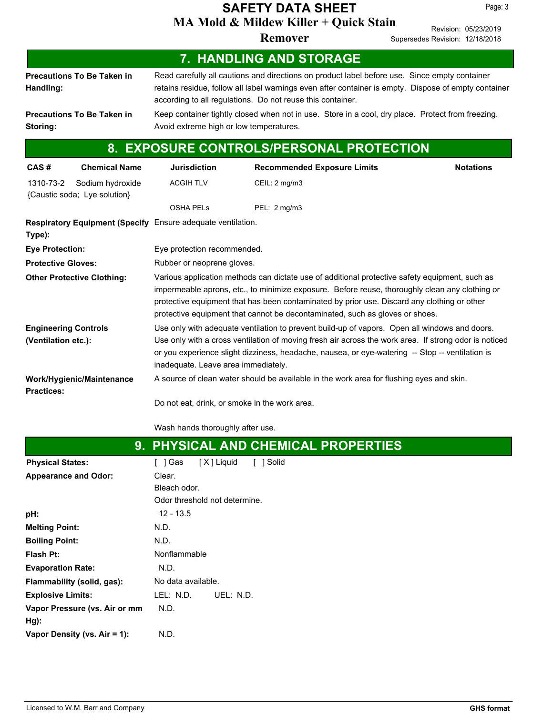## **MA Mold & Mildew Killer + Quick Stain SAFETY DATA SHEET**

**Remover**

Revision: 05/23/2019 Supersedes Revision: 12/18/2018

|                                                    |                                                             |                                                                                                                                                                                                                                                                                                                                                                                 | 7. HANDLING AND STORAGE |           |                                    |  |  |  |                  |
|----------------------------------------------------|-------------------------------------------------------------|---------------------------------------------------------------------------------------------------------------------------------------------------------------------------------------------------------------------------------------------------------------------------------------------------------------------------------------------------------------------------------|-------------------------|-----------|------------------------------------|--|--|--|------------------|
| Handling:                                          | <b>Precautions To Be Taken in</b>                           | Read carefully all cautions and directions on product label before use. Since empty container<br>retains residue, follow all label warnings even after container is empty. Dispose of empty container<br>according to all regulations. Do not reuse this container.                                                                                                             |                         |           |                                    |  |  |  |                  |
| Storing:                                           | <b>Precautions To Be Taken in</b>                           | Keep container tightly closed when not in use. Store in a cool, dry place. Protect from freezing.<br>Avoid extreme high or low temperatures.                                                                                                                                                                                                                                    |                         |           |                                    |  |  |  |                  |
|                                                    |                                                             | 8. EXPOSURE CONTROLS/PERSONAL PROTECTION                                                                                                                                                                                                                                                                                                                                        |                         |           |                                    |  |  |  |                  |
| CAS#                                               | <b>Chemical Name</b>                                        | <b>Jurisdiction</b>                                                                                                                                                                                                                                                                                                                                                             |                         |           | <b>Recommended Exposure Limits</b> |  |  |  | <b>Notations</b> |
| 1310-73-2                                          | Sodium hydroxide<br>{Caustic soda; Lye solution}            | <b>ACGIH TLV</b>                                                                                                                                                                                                                                                                                                                                                                |                         |           | CEIL: 2 mg/m3                      |  |  |  |                  |
|                                                    |                                                             | <b>OSHA PELS</b>                                                                                                                                                                                                                                                                                                                                                                |                         |           | PEL: 2 mg/m3                       |  |  |  |                  |
| Type):                                             | Respiratory Equipment (Specify Ensure adequate ventilation. |                                                                                                                                                                                                                                                                                                                                                                                 |                         |           |                                    |  |  |  |                  |
| <b>Eye Protection:</b>                             |                                                             | Eye protection recommended.                                                                                                                                                                                                                                                                                                                                                     |                         |           |                                    |  |  |  |                  |
| <b>Protective Gloves:</b>                          |                                                             | Rubber or neoprene gloves.                                                                                                                                                                                                                                                                                                                                                      |                         |           |                                    |  |  |  |                  |
|                                                    | <b>Other Protective Clothing:</b>                           | Various application methods can dictate use of additional protective safety equipment, such as<br>impermeable aprons, etc., to minimize exposure. Before reuse, thoroughly clean any clothing or<br>protective equipment that has been contaminated by prior use. Discard any clothing or other<br>protective equipment that cannot be decontaminated, such as gloves or shoes. |                         |           |                                    |  |  |  |                  |
| <b>Engineering Controls</b><br>(Ventilation etc.): |                                                             | Use only with adequate ventilation to prevent build-up of vapors. Open all windows and doors.<br>Use only with a cross ventilation of moving fresh air across the work area. If strong odor is noticed<br>or you experience slight dizziness, headache, nausea, or eye-watering -- Stop -- ventilation is<br>inadequate. Leave area immediately.                                |                         |           |                                    |  |  |  |                  |
| <b>Practices:</b>                                  | Work/Hygienic/Maintenance                                   | A source of clean water should be available in the work area for flushing eyes and skin.<br>Do not eat, drink, or smoke in the work area.                                                                                                                                                                                                                                       |                         |           |                                    |  |  |  |                  |
|                                                    |                                                             | Wash hands thoroughly after use.                                                                                                                                                                                                                                                                                                                                                |                         |           |                                    |  |  |  |                  |
|                                                    |                                                             | 9. PHYSICAL AND CHEMICAL PROPERTIES                                                                                                                                                                                                                                                                                                                                             |                         |           |                                    |  |  |  |                  |
| <b>Physical States:</b>                            |                                                             | [ ] Gas                                                                                                                                                                                                                                                                                                                                                                         | [X] Liquid              | [ ] Solid |                                    |  |  |  |                  |
| <b>Appearance and Odor:</b>                        |                                                             | Clear.<br>Bleach odor.<br>Odor threshold not determine.                                                                                                                                                                                                                                                                                                                         |                         |           |                                    |  |  |  |                  |
| pH:                                                |                                                             | $12 - 13.5$                                                                                                                                                                                                                                                                                                                                                                     |                         |           |                                    |  |  |  |                  |
| <b>Melting Point:</b>                              |                                                             | N.D.                                                                                                                                                                                                                                                                                                                                                                            |                         |           |                                    |  |  |  |                  |
| <b>Boiling Point:</b>                              |                                                             | N.D.                                                                                                                                                                                                                                                                                                                                                                            |                         |           |                                    |  |  |  |                  |
| Flash Pt:                                          |                                                             | Nonflammable                                                                                                                                                                                                                                                                                                                                                                    |                         |           |                                    |  |  |  |                  |
| <b>Evaporation Rate:</b>                           |                                                             | N.D.                                                                                                                                                                                                                                                                                                                                                                            |                         |           |                                    |  |  |  |                  |
|                                                    | Flammability (solid, gas):                                  | No data available.                                                                                                                                                                                                                                                                                                                                                              |                         |           |                                    |  |  |  |                  |
| <b>Explosive Limits:</b>                           |                                                             | LEL: N.D.                                                                                                                                                                                                                                                                                                                                                                       | UEL: N.D.               |           |                                    |  |  |  |                  |
| Hg):                                               | Vapor Pressure (vs. Air or mm                               | N.D.                                                                                                                                                                                                                                                                                                                                                                            |                         |           |                                    |  |  |  |                  |
|                                                    | Vapor Density (vs. Air = 1):                                | N.D.                                                                                                                                                                                                                                                                                                                                                                            |                         |           |                                    |  |  |  |                  |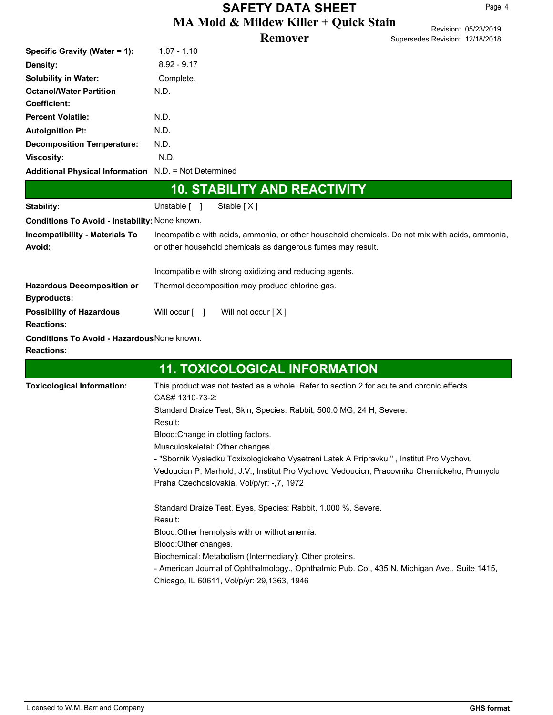## **MA Mold & Mildew Killer + Quick Stain SAFETY DATA SHEET**

#### **Remover**

| --                              | Revision: 05/23/2019 |
|---------------------------------|----------------------|
| Supersedes Revision: 12/18/2018 |                      |

| <b>10. STABILITY AND REACTIVITY</b>                   |               |  |  |
|-------------------------------------------------------|---------------|--|--|
| Additional Physical Information N.D. = Not Determined |               |  |  |
| <b>Viscosity:</b>                                     | N.D.          |  |  |
| <b>Decomposition Temperature:</b>                     | N.D.          |  |  |
| <b>Autoignition Pt:</b>                               | N.D.          |  |  |
| <b>Percent Volatile:</b>                              | N.D.          |  |  |
| <b>Coefficient:</b>                                   |               |  |  |
| <b>Octanol/Water Partition</b>                        | N.D.          |  |  |
| <b>Solubility in Water:</b>                           | Complete.     |  |  |
| <b>Density:</b>                                       | $8.92 - 9.17$ |  |  |
| Specific Gravity (Water = 1):                         | $1.07 - 1.10$ |  |  |
|                                                       |               |  |  |

| Stability:                                                              | Unstable $\lceil \quad \rceil$<br>Stable $[X]$                                                                                                                                                                                                                                                                                                                   |  |  |  |  |
|-------------------------------------------------------------------------|------------------------------------------------------------------------------------------------------------------------------------------------------------------------------------------------------------------------------------------------------------------------------------------------------------------------------------------------------------------|--|--|--|--|
| <b>Conditions To Avoid - Instability: None known.</b>                   |                                                                                                                                                                                                                                                                                                                                                                  |  |  |  |  |
| <b>Incompatibility - Materials To</b><br>Avoid:                         | Incompatible with acids, ammonia, or other household chemicals. Do not mix with acids, ammonia,<br>or other household chemicals as dangerous fumes may result.                                                                                                                                                                                                   |  |  |  |  |
|                                                                         | Incompatible with strong oxidizing and reducing agents.                                                                                                                                                                                                                                                                                                          |  |  |  |  |
| <b>Hazardous Decomposition or</b><br><b>Byproducts:</b>                 | Thermal decomposition may produce chlorine gas.                                                                                                                                                                                                                                                                                                                  |  |  |  |  |
| <b>Possibility of Hazardous</b><br><b>Reactions:</b>                    | Will not occur $[X]$<br>Will occur [ ]                                                                                                                                                                                                                                                                                                                           |  |  |  |  |
| <b>Conditions To Avoid - Hazardous None known.</b><br><b>Reactions:</b> |                                                                                                                                                                                                                                                                                                                                                                  |  |  |  |  |
|                                                                         | <b>11. TOXICOLOGICAL INFORMATION</b>                                                                                                                                                                                                                                                                                                                             |  |  |  |  |
| <b>Toxicological Information:</b>                                       | This product was not tested as a whole. Refer to section 2 for acute and chronic effects.<br>CAS# 1310-73-2:<br>Standard Draize Test, Skin, Species: Rabbit, 500.0 MG, 24 H, Severe.<br>Result:<br>Blood: Change in clotting factors.<br>Musculoskeletal: Other changes.<br>"Charnik Vuoladku Tavivalasiakoha Vuostrani Latek A Drinrauku "Linatitut Dra Vuohavu |  |  |  |  |

- "Sbornik Vysledku Toxixologickeho Vysetreni Latek A Pripravku," , Institut Pro Vychovu Vedoucicn P, Marhold, J.V., Institut Pro Vychovu Vedoucicn, Pracovniku Chemickeho, Prumyclu Praha Czechoslovakia, Vol/p/yr: -,7, 1972

Standard Draize Test, Eyes, Species: Rabbit, 1.000 %, Severe. Result: Blood:Other hemolysis with or withot anemia. Blood:Other changes. Biochemical: Metabolism (Intermediary): Other proteins. - American Journal of Ophthalmology., Ophthalmic Pub. Co., 435 N. Michigan Ave., Suite 1415, Chicago, IL 60611, Vol/p/yr: 29,1363, 1946